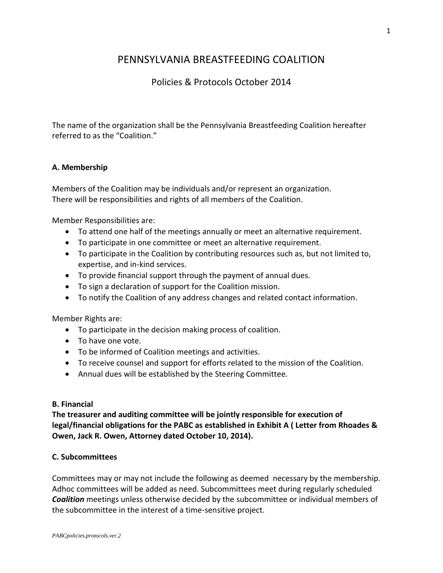# PENNSYLVANIA BREASTFEEDING COALITION

# Policies & Protocols October 2014

The name of the organization shall be the Pennsylvania Breastfeeding Coalition hereafter referred to as the "Coalition."

#### **A. Membership**

Members of the Coalition may be individuals and/or represent an organization. There will be responsibilities and rights of all members of the Coalition.

Member Responsibilities are:

- To attend one half of the meetings annually or meet an alternative requirement.
- To participate in one committee or meet an alternative requirement.
- To participate in the Coalition by contributing resources such as, but not limited to, expertise, and in-kind services.
- To provide financial support through the payment of annual dues.
- To sign a declaration of support for the Coalition mission.
- To notify the Coalition of any address changes and related contact information.

Member Rights are:

- To participate in the decision making process of coalition.
- To have one vote.
- To be informed of Coalition meetings and activities.
- To receive counsel and support for efforts related to the mission of the Coalition.
- Annual dues will be established by the Steering Committee.

#### **B. Financial**

**The treasurer and auditing committee will be jointly responsible for execution of legal/financial obligations for the PABC as established in Exhibit A ( Letter from Rhoades & Owen, Jack R. Owen, Attorney dated October 10, 2014).**

#### **C. Subcommittees**

Committees may or may not include the following as deemed necessary by the membership. Adhoc committees will be added as need. Subcommittees meet during regularly scheduled *Coalition* meetings unless otherwise decided by the subcommittee or individual members of the subcommittee in the interest of a time-sensitive project.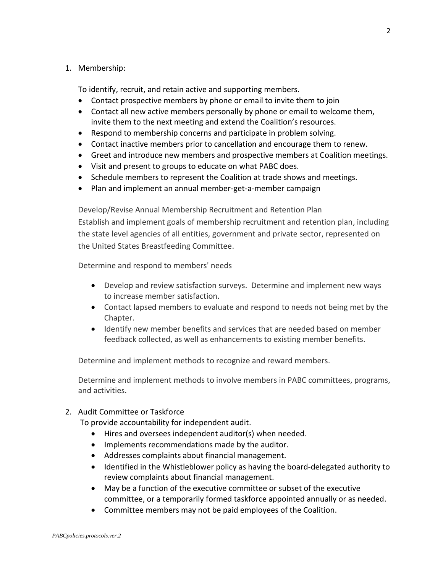#### 1. Membership:

To identify, recruit, and retain active and supporting members.

- Contact prospective members by phone or email to invite them to join
- Contact all new active members personally by phone or email to welcome them, invite them to the next meeting and extend the Coalition's resources.
- Respond to membership concerns and participate in problem solving.
- Contact inactive members prior to cancellation and encourage them to renew.
- Greet and introduce new members and prospective members at Coalition meetings.
- Visit and present to groups to educate on what PABC does.
- Schedule members to represent the Coalition at trade shows and meetings.
- Plan and implement an annual member-get-a-member campaign

Develop/Revise Annual Membership Recruitment and Retention Plan Establish and implement goals of membership recruitment and retention plan, including the state level agencies of all entities, government and private sector, represented on the United States Breastfeeding Committee.

Determine and respond to members' needs

- Develop and review satisfaction surveys. Determine and implement new ways to increase member satisfaction.
- Contact lapsed members to evaluate and respond to needs not being met by the Chapter.
- Identify new member benefits and services that are needed based on member feedback collected, as well as enhancements to existing member benefits.

Determine and implement methods to recognize and reward members.

Determine and implement methods to involve members in PABC committees, programs, and activities.

2. Audit Committee or Taskforce

To provide accountability for independent audit.

- Hires and oversees independent auditor(s) when needed.
- Implements recommendations made by the auditor.
- Addresses complaints about financial management.
- Identified in the Whistleblower policy as having the board-delegated authority to review complaints about financial management.
- May be a function of the executive committee or subset of the executive committee, or a temporarily formed taskforce appointed annually or as needed.
- Committee members may not be paid employees of the Coalition.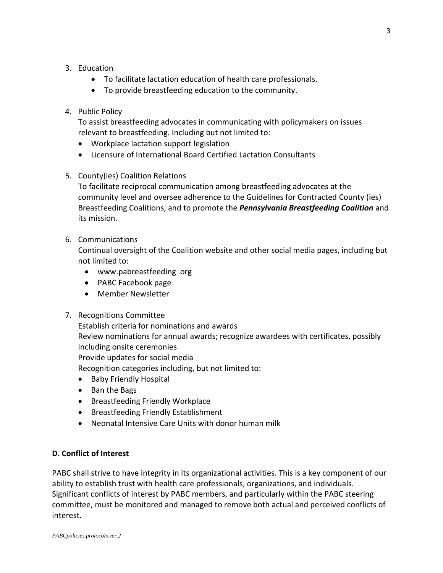### 3. Education

- To facilitate lactation education of health care professionals.
- To provide breastfeeding education to the community.

## 4. Public Policy

To assist breastfeeding advocates in communicating with policymakers on issues relevant to breastfeeding. Including but not limited to:

- Workplace lactation support legislation
- Licensure of International Board Certified Lactation Consultants
- 5. County(ies) Coalition Relations

To facilitate reciprocal communication among breastfeeding advocates at the community level and oversee adherence to the Guidelines for Contracted County (ies) Breastfeeding Coalitions, and to promote the *Pennsylvania Breastfeeding Coalition* and its mission.

### 6. Communications

Continual oversight of the Coalition website and other social media pages, including but not limited to:

- www.pabreastfeeding .org
- PABC Facebook page
- Member Newsletter

## 7. Recognitions Committee

Establish criteria for nominations and awards Review nominations for annual awards; recognize awardees with certificates, possibly including onsite ceremonies Provide updates for social media Recognition categories including, but not limited to:

- Baby Friendly Hospital
- Ban the Bags
- Breastfeeding Friendly Workplace
- Breastfeeding Friendly Establishment
- Neonatal Intensive Care Units with donor human milk

## **D**. **Conflict of Interest**

PABC shall strive to have integrity in its organizational activities. This is a key component of our ability to establish trust with health care professionals, organizations, and individuals. Significant conflicts of interest by PABC members, and particularly within the PABC steering committee, must be monitored and managed to remove both actual and perceived conflicts of interest.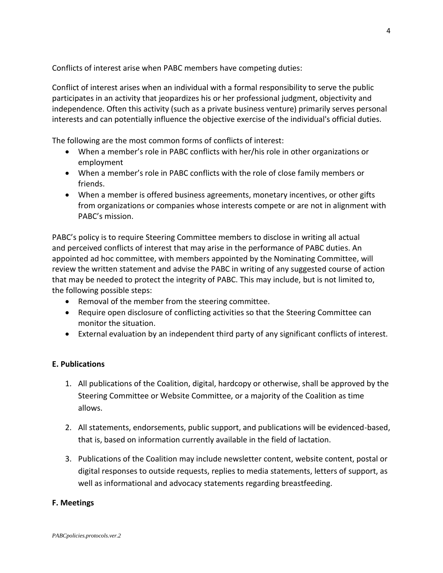Conflicts of interest arise when PABC members have competing duties:

Conflict of interest arises when an individual with a formal responsibility to serve the public participates in an activity that jeopardizes his or her professional judgment, objectivity and independence. Often this activity (such as a private business venture) primarily serves personal interests and can potentially influence the objective exercise of the individual's official duties.

The following are the most common forms of conflicts of interest:

- When a member's role in PABC conflicts with her/his role in other organizations or employment
- When a member's role in PABC conflicts with the role of close family members or friends.
- When a member is offered business agreements, monetary incentives, or other gifts from organizations or companies whose interests compete or are not in alignment with PABC's mission.

PABC's policy is to require Steering Committee members to disclose in writing all actual and perceived conflicts of interest that may arise in the performance of PABC duties. An appointed ad hoc committee, with members appointed by the Nominating Committee, will review the written statement and advise the PABC in writing of any suggested course of action that may be needed to protect the integrity of PABC. This may include, but is not limited to, the following possible steps:

- Removal of the member from the steering committee.
- Require open disclosure of conflicting activities so that the Steering Committee can monitor the situation.
- External evaluation by an independent third party of any significant conflicts of interest.

## **E. Publications**

- 1. All publications of the Coalition, digital, hardcopy or otherwise, shall be approved by the Steering Committee or Website Committee, or a majority of the Coalition as time allows.
- 2. All statements, endorsements, public support, and publications will be evidenced-based, that is, based on information currently available in the field of lactation.
- 3. Publications of the Coalition may include newsletter content, website content, postal or digital responses to outside requests, replies to media statements, letters of support, as well as informational and advocacy statements regarding breastfeeding.

#### **F. Meetings**